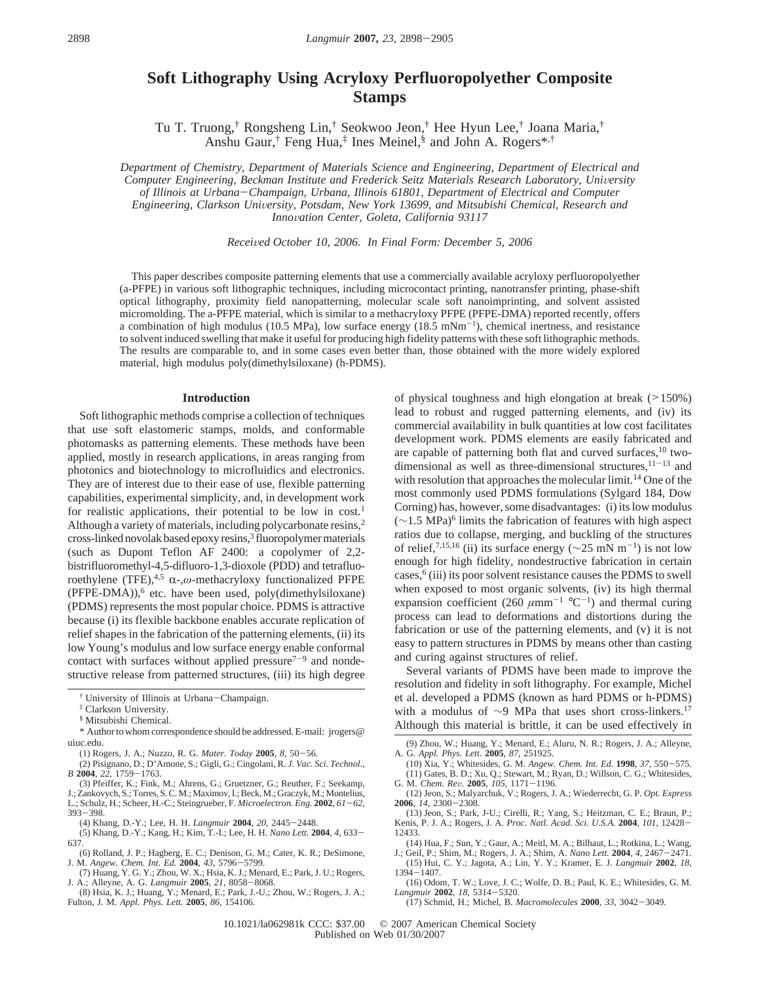# **Soft Lithography Using Acryloxy Perfluoropolyether Composite Stamps**

Tu T. Truong,† Rongsheng Lin,† Seokwoo Jeon,† Hee Hyun Lee,† Joana Maria,† Anshu Gaur,† Feng Hua,‡ Ines Meinel,§ and John A. Rogers\*,†

*Department of Chemistry, Department of Materials Science and Engineering, Department of Electrical and Computer Engineering, Beckman Institute and Frederick Seitz Materials Research Laboratory, University of Illinois at Urbana*-*Champaign, Urbana, Illinois 61801, Department of Electrical and Computer Engineering, Clarkson Uni*V*ersity, Potsdam, New York 13699, and Mitsubishi Chemical, Research and Inno*V*ation Center, Goleta, California 93117*

*Recei*V*ed October 10, 2006. In Final Form: December 5, 2006*

This paper describes composite patterning elements that use a commercially available acryloxy perfluoropolyether (a-PFPE) in various soft lithographic techniques, including microcontact printing, nanotransfer printing, phase-shift optical lithography, proximity field nanopatterning, molecular scale soft nanoimprinting, and solvent assisted micromolding. The a-PFPE material, which is similar to a methacryloxy PFPE (PFPE-DMA) reported recently, offers a combination of high modulus (10.5 MPa), low surface energy (18.5 mNm<sup>-1</sup>), chemical inertness, and resistance to solvent induced swelling that make it useful for producing high fidelity patterns with these soft lithographic methods. The results are comparable to, and in some cases even better than, those obtained with the more widely explored material, high modulus poly(dimethylsiloxane) (h-PDMS).

#### **Introduction**

Soft lithographic methods comprise a collection of techniques that use soft elastomeric stamps, molds, and conformable photomasks as patterning elements. These methods have been applied, mostly in research applications, in areas ranging from photonics and biotechnology to microfluidics and electronics. They are of interest due to their ease of use, flexible patterning capabilities, experimental simplicity, and, in development work for realistic applications, their potential to be low in cost.<sup>1</sup> Although a variety of materials, including polycarbonate resins,<sup>2</sup> cross-linked novolak based epoxy resins,<sup>3</sup> fluoropolymer materials (such as Dupont Teflon AF 2400: a copolymer of 2,2 bistrifluoromethyl-4,5-difluoro-1,3-dioxole (PDD) and tetrafluoroethylene (TFE),<sup>4,5</sup> α-,ω-methacryloxy functionalized PFPE  $(PFPE-DMA)$ ,  $6$  etc. have been used, poly(dimethylsiloxane) (PDMS) represents the most popular choice. PDMS is attractive because (i) its flexible backbone enables accurate replication of relief shapes in the fabrication of the patterning elements, (ii) its low Young's modulus and low surface energy enable conformal contact with surfaces without applied pressure $7-9$  and nondestructive release from patterned structures, (iii) its high degree

- (3) Pfeiffer, K.; Fink, M.; Ahrens, G.; Gruetzner, G.; Reuther, F.; Seekamp, J.; Zankovych, S.; Torres, S. C. M.; Maximov, I.; Beck, M.; Graczyk, M.; Montelius, L.; Schulz, H.; Scheer, H.-C.; Steingrueber, F. *Microelectron. Eng.* **<sup>2002</sup>**, *<sup>61</sup>*-*62*, <sup>393</sup>-398.
- (4) Khang, D.-Y.; Lee, H. H. *Langmuir* **<sup>2004</sup>**, *<sup>20</sup>*, 2445-2448.

(5) Khang, D.-Y.; Kang, H.; Kim, T.-I.; Lee, H. H. *Nano Lett.* **<sup>2004</sup>**, *<sup>4</sup>*, 633- 637.

- (6) Rolland, J. P.; Hagberg, E. C.; Denison, G. M.; Cater, K. R.; DeSimone,
- J. M. *Angew. Chem. Int. Ed.* **<sup>2004</sup>**, *<sup>43</sup>*, 5796-5799. (7) Huang, Y. G. Y.; Zhou, W. X.; Hsia, K. J.; Menard, E.; Park, J. U.; Rogers, J. A.; Alleyne, A. G. *Langmuir* **<sup>2005</sup>**, *<sup>21</sup>*, 8058-8068.
- (8) Hsia, K. J.; Huang, Y.; Menard, E.; Park, J.-U.; Zhou, W.; Rogers, J. A.; Fulton, J. M. *Appl. Phys. Lett.* **2005**, *86*, 154106.

of physical toughness and high elongation at break  $($ >150%) lead to robust and rugged patterning elements, and (iv) its commercial availability in bulk quantities at low cost facilitates development work. PDMS elements are easily fabricated and are capable of patterning both flat and curved surfaces,10 twodimensional as well as three-dimensional structures,  $11-13$  and with resolution that approaches the molecular limit.<sup>14</sup> One of the most commonly used PDMS formulations (Sylgard 184, Dow Corning) has, however, some disadvantages: (i) its low modulus  $(\sim 1.5 \text{ MPa})^6$  limits the fabrication of features with high aspect ratios due to collapse, merging, and buckling of the structures of relief,<sup>7,15,16</sup> (ii) its surface energy ( $\sim$ 25 mN m<sup>-1</sup>) is not low enough for high fidelity, nondestructive fabrication in certain cases, $6$  (iii) its poor solvent resistance causes the PDMS to swell when exposed to most organic solvents, (iv) its high thermal expansion coefficient (260  $\mu$ mm<sup>-1</sup> °C<sup>-1</sup>) and thermal curing process can lead to deformations and distortions during the fabrication or use of the patterning elements, and (v) it is not easy to pattern structures in PDMS by means other than casting and curing against structures of relief.

Several variants of PDMS have been made to improve the resolution and fidelity in soft lithography. For example, Michel et al. developed a PDMS (known as hard PDMS or h-PDMS) with a modulus of ∼9 MPa that uses short cross-linkers.<sup>17</sup> Although this material is brittle, it can be used effectively in

(9) Zhou, W.; Huang, Y.; Menard, E.; Aluru, N. R.; Rogers, J. A.; Alleyne, A. G. *Appl. Phys. Lett.* **2005**, *87*, 251925.

- (10) Xia, Y.; Whitesides, G. M. *Angew. Chem. Int. Ed.* **<sup>1998</sup>**, *<sup>37</sup>*, 550-575. (11) Gates, B. D.; Xu, Q.; Stewart, M.; Ryan, D.; Willson, C. G.; Whitesides, G. M. Chem. Rev. 2005, 105, 1171–1196. G. M. *Chem. Re*V*.* **<sup>2005</sup>**, *<sup>105</sup>*, 1171-1196. (12) Jeon, S.; Malyarchuk, V.; Rogers, J. A.; Wiederrecht, G. P. *Opt. Express*
- **<sup>2006</sup>**, *<sup>14</sup>*, 2300-2308. (13) Jeon, S.; Park, J-U.; Cirelli, R.; Yang, S.; Heitzman, C. E.; Braun, P.;
- Kenis, P. J. A.; Rogers, J. A. *Proc. Natl. Acad. Sci. U.S.A.* **<sup>2004</sup>**, *<sup>101</sup>*, 12428- 12433.
- (14) Hua, F.; Sun, Y.; Gaur, A.; Meitl, M. A.; Bilhaut, L.; Rotkina, L.; Wang,
- J.; Geil, P.; Shim, M.; Rogers, J. A.; Shim, A. *Nano Lett.* **<sup>2004</sup>**, *<sup>4</sup>*, 2467-2471. (15) Hui, C. Y.; Jagota, A.; Lin, Y. Y.; Kramer, E. J. *Langmuir* **2002**, *18*,
- <sup>1394</sup>-1407. (16) Odom, T. W.; Love, J. C.; Wolfe, D. B.; Paul, K. E.; Whitesides, G. M. *Langmuir* **<sup>2002</sup>**, *<sup>18</sup>*, 5314-5320.
	- (17) Schmid, H.; Michel, B. *Macromolecules* **<sup>2000</sup>**, *<sup>33</sup>*, 3042-3049.

<sup>†</sup> University of Illinois at Urbana-Champaign.

<sup>‡</sup> Clarkson University.

<sup>§</sup> Mitsubishi Chemical.

<sup>\*</sup> Author to whom correspondence should be addressed. E-mail: jrogers@ uiuc.edu.<br>(1) Rogers, J. A.; Nuzzo, R. G. *Mater. Today* **2005**, 8, 50–56.

<sup>(1)</sup> Rogers, J. A.; Nuzzo, R. G. *Mater. Today* **<sup>2005</sup>**, *<sup>8</sup>*, 50-56. (2) Pisignano, D.; D'Amone, S.; Gigli, G.; Cingolani, R. *J. Vac. Sci. Technol., <sup>B</sup>* **<sup>2004</sup>**, *<sup>22</sup>*, 1759-1763.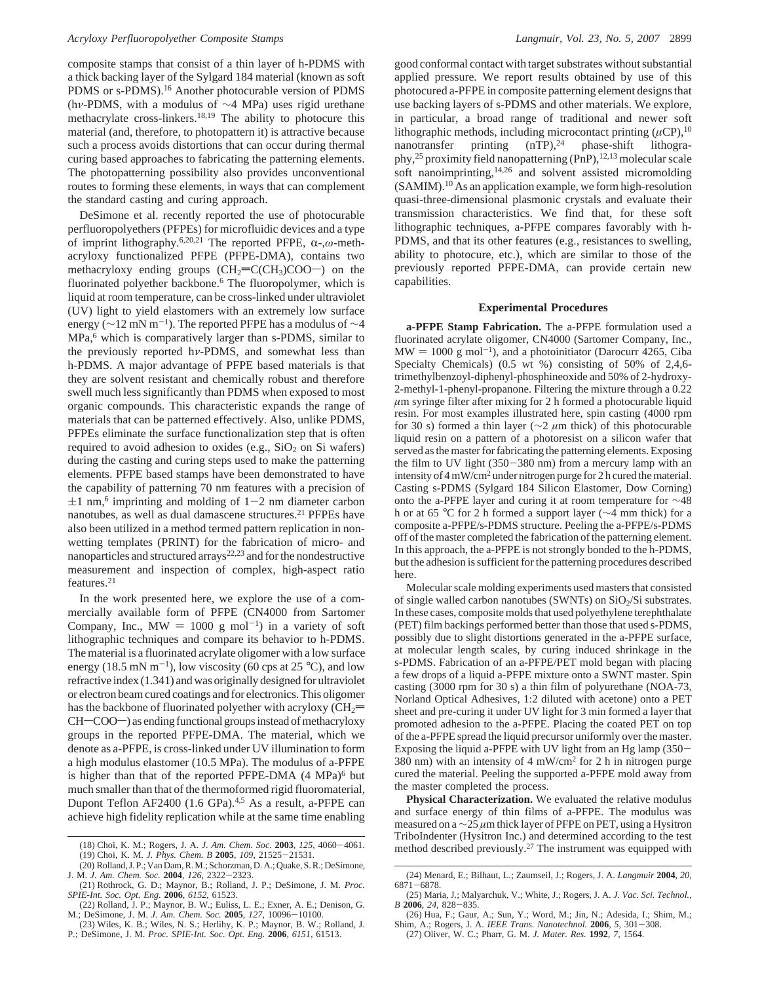composite stamps that consist of a thin layer of h-PDMS with a thick backing layer of the Sylgard 184 material (known as soft PDMS or s-PDMS).16 Another photocurable version of PDMS (h*ν*-PDMS, with a modulus of ∼4 MPa) uses rigid urethane methacrylate cross-linkers.18,19 The ability to photocure this material (and, therefore, to photopattern it) is attractive because such a process avoids distortions that can occur during thermal curing based approaches to fabricating the patterning elements. The photopatterning possibility also provides unconventional routes to forming these elements, in ways that can complement the standard casting and curing approach.

DeSimone et al. recently reported the use of photocurable perfluoropolyethers (PFPEs) for microfluidic devices and a type of imprint lithography.6,20,21 The reported PFPE, R-,*ω*-methacryloxy functionalized PFPE (PFPE-DMA), contains two methacryloxy ending groups  $(CH_2=CCCH_3)COO$ ) on the fluorinated polyether backbone.<sup>6</sup> The fluoropolymer, which is liquid at room temperature, can be cross-linked under ultraviolet (UV) light to yield elastomers with an extremely low surface energy ( $\sim$ 12 mN m<sup>-1</sup>). The reported PFPE has a modulus of  $\sim$ 4 MPa,<sup>6</sup> which is comparatively larger than s-PDMS, similar to the previously reported h*ν*-PDMS, and somewhat less than h-PDMS. A major advantage of PFPE based materials is that they are solvent resistant and chemically robust and therefore swell much less significantly than PDMS when exposed to most organic compounds. This characteristic expands the range of materials that can be patterned effectively. Also, unlike PDMS, PFPEs eliminate the surface functionalization step that is often required to avoid adhesion to oxides (e.g.,  $SiO<sub>2</sub>$  on Si wafers) during the casting and curing steps used to make the patterning elements. PFPE based stamps have been demonstrated to have the capability of patterning 70 nm features with a precision of  $\pm 1$  nm,<sup>6</sup> imprinting and molding of 1-2 nm diameter carbon nanotubes, as well as dual damascene structures.<sup>21</sup> PFPEs have also been utilized in a method termed pattern replication in nonwetting templates (PRINT) for the fabrication of micro- and nanoparticles and structured arrays22,23 and for the nondestructive measurement and inspection of complex, high-aspect ratio features.21

In the work presented here, we explore the use of a commercially available form of PFPE (CN4000 from Sartomer Company, Inc.,  $MW = 1000 g mol<sup>-1</sup>$  in a variety of soft lithographic techniques and compare its behavior to h-PDMS. The material is a fluorinated acrylate oligomer with a low surface energy (18.5 mN m<sup>-1</sup>), low viscosity (60 cps at 25 °C), and low refractive index (1.341) and was originally designed for ultraviolet or electron beam cured coatings and for electronics. This oligomer has the backbone of fluorinated polyether with acryloxy  $\rm (CH_2=$  $CH$  $COO$  $\rightarrow$ ) as ending functional groups instead of methacryloxy groups in the reported PFPE-DMA. The material, which we denote as a-PFPE, is cross-linked under UV illumination to form a high modulus elastomer (10.5 MPa). The modulus of a-PFPE is higher than that of the reported PFPE-DMA  $(4 \text{ MPa})^6$  but much smaller than that of the thermoformed rigid fluoromaterial, Dupont Teflon AF2400 (1.6 GPa).<sup>4,5</sup> As a result, a-PFPE can achieve high fidelity replication while at the same time enabling

good conformal contact with target substrates without substantial applied pressure. We report results obtained by use of this photocured a-PFPE in composite patterning element designs that use backing layers of s-PDMS and other materials. We explore, in particular, a broad range of traditional and newer soft lithographic methods, including microcontact printing  $(\mu CP)^{10}$ nanotransfer printing (nTP),<sup>24</sup> phase-shift lithography,<sup>25</sup> proximity field nanopatterning (PnP),<sup>12,13</sup> molecular scale soft nanoimprinting,14,26 and solvent assisted micromolding (SAMIM).10 As an application example, we form high-resolution quasi-three-dimensional plasmonic crystals and evaluate their transmission characteristics. We find that, for these soft lithographic techniques, a-PFPE compares favorably with h-PDMS, and that its other features (e.g., resistances to swelling, ability to photocure, etc.), which are similar to those of the previously reported PFPE-DMA, can provide certain new capabilities.

## **Experimental Procedures**

**a-PFPE Stamp Fabrication.** The a-PFPE formulation used a fluorinated acrylate oligomer, CN4000 (Sartomer Company, Inc.,  $MW = 1000 g mol<sup>-1</sup>$ ), and a photoinitiator (Darocurr 4265, Ciba Specialty Chemicals) (0.5 wt %) consisting of 50% of 2,4,6 trimethylbenzoyl-diphenyl-phosphineoxide and 50% of 2-hydroxy-2-methyl-1-phenyl-propanone. Filtering the mixture through a 0.22  $\mu$ m syringe filter after mixing for 2 h formed a photocurable liquid resin. For most examples illustrated here, spin casting (4000 rpm for 30 s) formed a thin layer (∼2 *µ*m thick) of this photocurable liquid resin on a pattern of a photoresist on a silicon wafer that served as the master for fabricating the patterning elements. Exposing the film to UV light (350-380 nm) from a mercury lamp with an intensity of 4 mW/cm2 under nitrogen purge for 2 h cured the material. Casting s-PDMS (Sylgard 184 Silicon Elastomer, Dow Corning) onto the a-PFPE layer and curing it at room temperature for ∼48 h or at 65 °C for 2 h formed a support layer (∼4 mm thick) for a composite a-PFPE/s-PDMS structure. Peeling the a-PFPE/s-PDMS off of the master completed the fabrication of the patterning element. In this approach, the a-PFPE is not strongly bonded to the h-PDMS, but the adhesion is sufficient for the patterning procedures described here.

Molecular scale molding experiments used masters that consisted of single walled carbon nanotubes (SWNTs) on SiO<sub>2</sub>/Si substrates. In these cases, composite molds that used polyethylene terephthalate (PET) film backings performed better than those that used s-PDMS, possibly due to slight distortions generated in the a-PFPE surface, at molecular length scales, by curing induced shrinkage in the s-PDMS. Fabrication of an a-PFPE/PET mold began with placing a few drops of a liquid a-PFPE mixture onto a SWNT master. Spin casting (3000 rpm for 30 s) a thin film of polyurethane (NOA-73, Norland Optical Adhesives, 1:2 diluted with acetone) onto a PET sheet and pre-curing it under UV light for 3 min formed a layer that promoted adhesion to the a-PFPE. Placing the coated PET on top of the a-PFPE spread the liquid precursor uniformly over the master. Exposing the liquid a-PFPE with UV light from an Hg lamp  $(350 -$ 380 nm) with an intensity of 4 mW/cm2 for 2 h in nitrogen purge cured the material. Peeling the supported a-PFPE mold away from the master completed the process.

**Physical Characterization.** We evaluated the relative modulus and surface energy of thin films of a-PFPE. The modulus was measured on a ∼25 *µ*m thick layer of PFPE on PET, using a Hysitron TriboIndenter (Hysitron Inc.) and determined according to the test method described previously.27 The instrument was equipped with (18) Choi, K. M.; Rogers, J. A. *J. Am. Chem. Soc.* **<sup>2003</sup>**, *<sup>125</sup>*, 4060-4061.

- 
- Shim, A.; Rogers, J. A. *IEEE Trans. Nanotechnol.* **<sup>2006</sup>**, *<sup>5</sup>*, 301-308. (27) Oliver, W. C.; Pharr, G. M. *J. Mater. Res.* **1992**, *7*, 1564.

<sup>(19)</sup> Choi, K. M. *J. Phys. Chem. B* **<sup>2005</sup>**, *<sup>109</sup>*, 21525-21531.

<sup>(20)</sup> Rolland, J. P.; Van Dam, R. M.; Schorzman, D. A.; Quake, S. R.; DeSimone, J. M. *J. Am. Chem. Soc.* **<sup>2004</sup>**, *<sup>126</sup>*, 2322-2323.

<sup>(21)</sup> Rothrock, G. D.; Maynor, B.; Rolland, J. P.; DeSimone, J. M. *Proc. SPIE-Int. Soc. Opt. Eng.* **2006**, *6152*, 61523.

<sup>(22)</sup> Rolland, J. P.; Maynor, B. W.; Euliss, L. E.; Exner, A. E.; Denison, G. M.; DeSimone, J. M. *J. Am. Chem. Soc.* **<sup>2005</sup>**, *<sup>127</sup>*, 10096-10100.

<sup>(23)</sup> Wiles, K. B.; Wiles, N. S.; Herlihy, K. P.; Maynor, B. W.; Rolland, J. P.; DeSimone, J. M. *Proc. SPIE-Int. Soc. Opt. Eng.* **2006**, *6151*, 61513.

<sup>(24)</sup> Menard, E.; Bilhaut, L.; Zaumseil, J.; Rogers, J. A. *Langmuir* **2004**, *20*, <sup>6871</sup>-6878. (25) Maria, J.; Malyarchuk, V.; White, J.; Rogers, J. A. *J. Vac. Sci. Technol.,*

*<sup>B</sup>* **<sup>2006</sup>**, *<sup>24</sup>*, 828-835. (26) Hua, F.; Gaur, A.; Sun, Y.; Word, M.; Jin, N.; Adesida, I.; Shim, M.;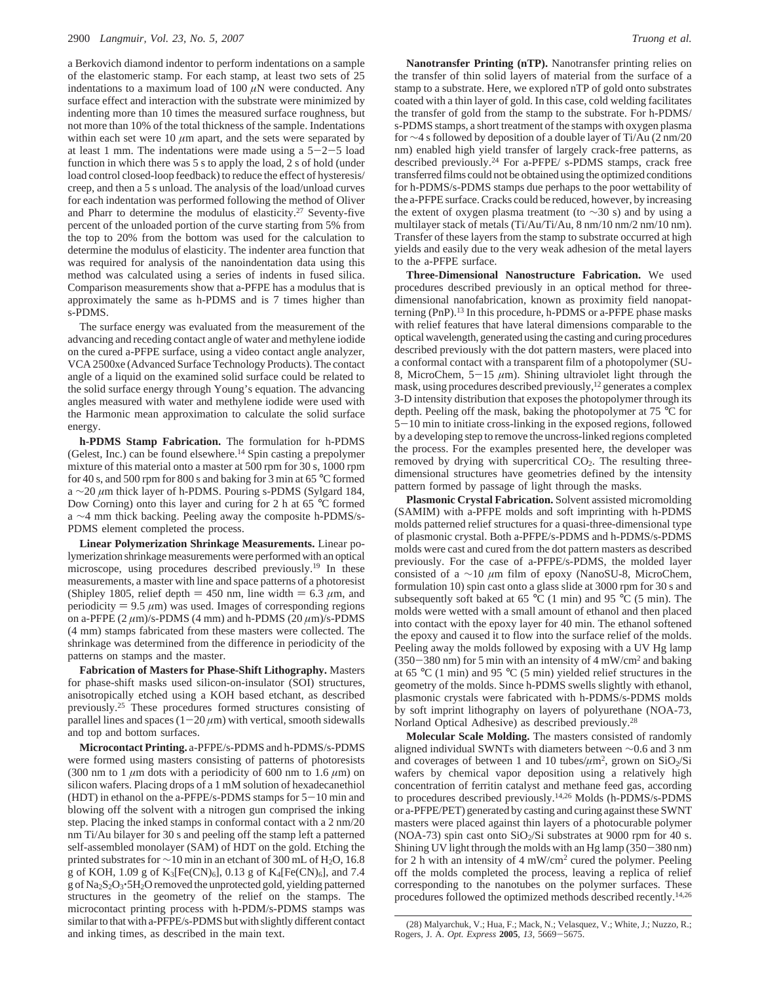a Berkovich diamond indentor to perform indentations on a sample of the elastomeric stamp. For each stamp, at least two sets of 25 indentations to a maximum load of 100  $\mu$ N were conducted. Any surface effect and interaction with the substrate were minimized by indenting more than 10 times the measured surface roughness, but not more than 10% of the total thickness of the sample. Indentations within each set were  $10 \mu m$  apart, and the sets were separated by at least 1 mm. The indentations were made using a  $5-2-5$  load function in which there was 5 s to apply the load, 2 s of hold (under load control closed-loop feedback) to reduce the effect of hysteresis/ creep, and then a 5 s unload. The analysis of the load/unload curves for each indentation was performed following the method of Oliver and Pharr to determine the modulus of elasticity.<sup>27</sup> Seventy-five percent of the unloaded portion of the curve starting from 5% from the top to 20% from the bottom was used for the calculation to determine the modulus of elasticity. The indenter area function that was required for analysis of the nanoindentation data using this method was calculated using a series of indents in fused silica. Comparison measurements show that a-PFPE has a modulus that is approximately the same as h-PDMS and is 7 times higher than s-PDMS.

The surface energy was evaluated from the measurement of the advancing and receding contact angle of water and methylene iodide on the cured a-PFPE surface, using a video contact angle analyzer, VCA 2500xe (Advanced Surface Technology Products). The contact angle of a liquid on the examined solid surface could be related to the solid surface energy through Young's equation. The advancing angles measured with water and methylene iodide were used with the Harmonic mean approximation to calculate the solid surface energy.

**h-PDMS Stamp Fabrication.** The formulation for h-PDMS (Gelest, Inc.) can be found elsewhere.<sup>14</sup> Spin casting a prepolymer mixture of this material onto a master at 500 rpm for 30 s, 1000 rpm for 40 s, and 500 rpm for 800 s and baking for 3 min at 65 °C formed a ∼20 *µ*m thick layer of h-PDMS. Pouring s-PDMS (Sylgard 184, Dow Corning) onto this layer and curing for 2 h at 65 °C formed a ∼4 mm thick backing. Peeling away the composite h-PDMS/s-PDMS element completed the process.

**Linear Polymerization Shrinkage Measurements.** Linear polymerization shrinkage measurements were performed with an optical microscope, using procedures described previously.19 In these measurements, a master with line and space patterns of a photoresist (Shipley 1805, relief depth  $= 450$  nm, line width  $= 6.3 \mu$ m, and periodicity  $= 9.5 \mu m$ ) was used. Images of corresponding regions on a-PFPE (2 *µ*m)/s-PDMS (4 mm) and h-PDMS (20 *µ*m)/s-PDMS (4 mm) stamps fabricated from these masters were collected. The shrinkage was determined from the difference in periodicity of the patterns on stamps and the master.

**Fabrication of Masters for Phase-Shift Lithography.** Masters for phase-shift masks used silicon-on-insulator (SOI) structures, anisotropically etched using a KOH based etchant, as described previously.25 These procedures formed structures consisting of parallel lines and spaces  $(1-20 \,\mu m)$  with vertical, smooth sidewalls and top and bottom surfaces.

**Microcontact Printing.** a-PFPE/s-PDMS and h-PDMS/s-PDMS were formed using masters consisting of patterns of photoresists (300 nm to 1  $\mu$ m dots with a periodicity of 600 nm to 1.6  $\mu$ m) on silicon wafers. Placing drops of a 1 mM solution of hexadecanethiol (HDT) in ethanol on the a-PFPE/s-PDMS stamps for  $5-10$  min and blowing off the solvent with a nitrogen gun comprised the inking step. Placing the inked stamps in conformal contact with a 2 nm/20 nm Ti/Au bilayer for 30 s and peeling off the stamp left a patterned self-assembled monolayer (SAM) of HDT on the gold. Etching the printed substrates for ∼10 min in an etchant of 300 mL of H<sub>2</sub>O, 16.8 g of KOH, 1.09 g of  $K_3[Fe(CN)_6]$ , 0.13 g of  $K_4[Fe(CN)_6]$ , and 7.4 g of  $\text{Na}_2\text{S}_2\text{O}_3$ . 5H<sub>2</sub>O removed the unprotected gold, yielding patterned structures in the geometry of the relief on the stamps. The microcontact printing process with h-PDM/s-PDMS stamps was similar to that with a-PFPE/s-PDMS but with slightly different contact and inking times, as described in the main text.

**Nanotransfer Printing (nTP).** Nanotransfer printing relies on the transfer of thin solid layers of material from the surface of a stamp to a substrate. Here, we explored nTP of gold onto substrates coated with a thin layer of gold. In this case, cold welding facilitates the transfer of gold from the stamp to the substrate. For h-PDMS/ s-PDMS stamps, a short treatment of the stamps with oxygen plasma for ∼4 s followed by deposition of a double layer of Ti/Au (2 nm/20 nm) enabled high yield transfer of largely crack-free patterns, as described previously.24 For a-PFPE/ s-PDMS stamps, crack free transferred films could not be obtained using the optimized conditions for h-PDMS/s-PDMS stamps due perhaps to the poor wettability of the a-PFPE surface. Cracks could be reduced, however, by increasing the extent of oxygen plasma treatment (to ∼30 s) and by using a multilayer stack of metals (Ti/Au/Ti/Au, 8 nm/10 nm/2 nm/10 nm). Transfer of these layers from the stamp to substrate occurred at high yields and easily due to the very weak adhesion of the metal layers to the a-PFPE surface.

**Three-Dimensional Nanostructure Fabrication.** We used procedures described previously in an optical method for threedimensional nanofabrication, known as proximity field nanopatterning (PnP).13 In this procedure, h-PDMS or a-PFPE phase masks with relief features that have lateral dimensions comparable to the optical wavelength, generated using the casting and curing procedures described previously with the dot pattern masters, were placed into a conformal contact with a transparent film of a photopolymer (SU-8, MicroChem,  $5-15 \mu m$ ). Shining ultraviolet light through the mask, using procedures described previously,12 generates a complex 3-D intensity distribution that exposes the photopolymer through its depth. Peeling off the mask, baking the photopolymer at 75 °C for <sup>5</sup>-10 min to initiate cross-linking in the exposed regions, followed by a developing step to remove the uncross-linked regions completed the process. For the examples presented here, the developer was removed by drying with supercritical  $CO<sub>2</sub>$ . The resulting threedimensional structures have geometries defined by the intensity pattern formed by passage of light through the masks.

**Plasmonic Crystal Fabrication.** Solvent assisted micromolding (SAMIM) with a-PFPE molds and soft imprinting with h-PDMS molds patterned relief structures for a quasi-three-dimensional type of plasmonic crystal. Both a-PFPE/s-PDMS and h-PDMS/s-PDMS molds were cast and cured from the dot pattern masters as described previously. For the case of a-PFPE/s-PDMS, the molded layer consisted of a ∼10 *µ*m film of epoxy (NanoSU-8, MicroChem, formulation 10) spin cast onto a glass slide at 3000 rpm for 30 s and subsequently soft baked at 65 °C (1 min) and 95 °C (5 min). The molds were wetted with a small amount of ethanol and then placed into contact with the epoxy layer for 40 min. The ethanol softened the epoxy and caused it to flow into the surface relief of the molds. Peeling away the molds followed by exposing with a UV Hg lamp  $(350-380 \text{ nm})$  for 5 min with an intensity of 4 mW/cm<sup>2</sup> and baking at 65 °C (1 min) and 95 °C (5 min) yielded relief structures in the geometry of the molds. Since h-PDMS swells slightly with ethanol, plasmonic crystals were fabricated with h-PDMS/s-PDMS molds by soft imprint lithography on layers of polyurethane (NOA-73, Norland Optical Adhesive) as described previously.28

**Molecular Scale Molding.** The masters consisted of randomly aligned individual SWNTs with diameters between ∼0.6 and 3 nm and coverages of between 1 and 10 tubes/ $\mu$ m<sup>2</sup>, grown on SiO<sub>2</sub>/Si wafers by chemical vapor deposition using a relatively high concentration of ferritin catalyst and methane feed gas, according to procedures described previously.14,26 Molds (h-PDMS/s-PDMS or a-PFPE/PET) generated by casting and curing against these SWNT masters were placed against thin layers of a photocurable polymer (NOA-73) spin cast onto  $SiO<sub>2</sub>/Si$  substrates at 9000 rpm for 40 s. Shining UV light through the molds with an Hg lamp (350-380 nm) for 2 h with an intensity of 4 mW/cm2 cured the polymer. Peeling off the molds completed the process, leaving a replica of relief corresponding to the nanotubes on the polymer surfaces. These procedures followed the optimized methods described recently.14,26

<sup>(28)</sup> Malyarchuk, V.; Hua, F.; Mack, N.; Velasquez, V.; White, J.; Nuzzo, R.; Rogers, J. A. *Opt. Express* **<sup>2005</sup>**, *<sup>13</sup>*, 5669-5675.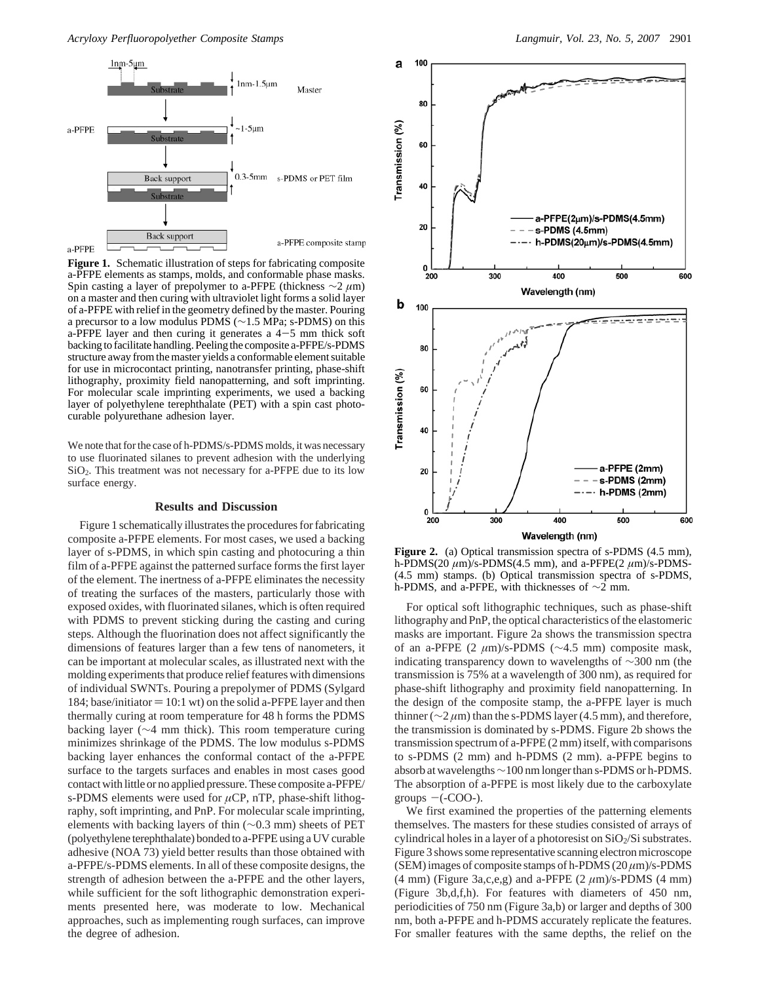*Acryloxy Perfluoropolyether Composite Stamps Langmuir, Vol. 23, No. 5, 2007* 2901



Figure 1. Schematic illustration of steps for fabricating composite a-PFPE elements as stamps, molds, and conformable phase masks. Spin casting a layer of prepolymer to a-PFPE (thickness ∼2 *µ*m) on a master and then curing with ultraviolet light forms a solid layer of a-PFPE with relief in the geometry defined by the master. Pouring a precursor to a low modulus PDMS (∼1.5 MPa; s-PDMS) on this a-PFPE layer and then curing it generates a  $4-5$  mm thick soft backing to facilitate handling. Peeling the composite a-PFPE/s-PDMS structure away from the master yields a conformable element suitable for use in microcontact printing, nanotransfer printing, phase-shift lithography, proximity field nanopatterning, and soft imprinting. For molecular scale imprinting experiments, we used a backing layer of polyethylene terephthalate (PET) with a spin cast photocurable polyurethane adhesion layer.

We note that for the case of h-PDMS/s-PDMS molds, it was necessary to use fluorinated silanes to prevent adhesion with the underlying SiO2. This treatment was not necessary for a-PFPE due to its low surface energy.

#### **Results and Discussion**

Figure 1 schematically illustrates the procedures for fabricating composite a-PFPE elements. For most cases, we used a backing layer of s-PDMS, in which spin casting and photocuring a thin film of a-PFPE against the patterned surface forms the first layer of the element. The inertness of a-PFPE eliminates the necessity of treating the surfaces of the masters, particularly those with exposed oxides, with fluorinated silanes, which is often required with PDMS to prevent sticking during the casting and curing steps. Although the fluorination does not affect significantly the dimensions of features larger than a few tens of nanometers, it can be important at molecular scales, as illustrated next with the molding experiments that produce relief features with dimensions of individual SWNTs. Pouring a prepolymer of PDMS (Sylgard 184; base/initiator  $= 10:1$  wt) on the solid a-PFPE layer and then thermally curing at room temperature for 48 h forms the PDMS backing layer (∼4 mm thick). This room temperature curing minimizes shrinkage of the PDMS. The low modulus s-PDMS backing layer enhances the conformal contact of the a-PFPE surface to the targets surfaces and enables in most cases good contact with little or no applied pressure. These composite a-PFPE/ s-PDMS elements were used for  $\mu$ CP, nTP, phase-shift lithography, soft imprinting, and PnP. For molecular scale imprinting, elements with backing layers of thin (∼0.3 mm) sheets of PET (polyethylene terephthalate) bonded to a-PFPE using a UV curable adhesive (NOA 73) yield better results than those obtained with a-PFPE/s-PDMS elements. In all of these composite designs, the strength of adhesion between the a-PFPE and the other layers, while sufficient for the soft lithographic demonstration experiments presented here, was moderate to low. Mechanical approaches, such as implementing rough surfaces, can improve the degree of adhesion.



**Figure 2.** (a) Optical transmission spectra of s-PDMS (4.5 mm), h-PDMS(20 *µ*m)/s-PDMS(4.5 mm), and a-PFPE(2 *µ*m)/s-PDMS- (4.5 mm) stamps. (b) Optical transmission spectra of s-PDMS, h-PDMS, and a-PFPE, with thicknesses of ∼2 mm.

For optical soft lithographic techniques, such as phase-shift lithography and PnP, the optical characteristics of the elastomeric masks are important. Figure 2a shows the transmission spectra of an a-PFPE (2 *µ*m)/s-PDMS (∼4.5 mm) composite mask, indicating transparency down to wavelengths of ∼300 nm (the transmission is 75% at a wavelength of 300 nm), as required for phase-shift lithography and proximity field nanopatterning. In the design of the composite stamp, the a-PFPE layer is much thinner (∼2 *µ*m) than the s-PDMS layer (4.5 mm), and therefore, the transmission is dominated by s-PDMS. Figure 2b shows the transmission spectrum of a-PFPE (2 mm) itself, with comparisons to s-PDMS (2 mm) and h-PDMS (2 mm). a-PFPE begins to absorb at wavelengths∼100 nm longer than s-PDMS or h-PDMS. The absorption of a-PFPE is most likely due to the carboxylate groups  $-(-COO)$ .

We first examined the properties of the patterning elements themselves. The masters for these studies consisted of arrays of cylindrical holes in a layer of a photoresist on  $SiO<sub>2</sub>/Si$  substrates. Figure 3 shows some representative scanning electron microscope (SEM) images of composite stamps of h-PDMS (20 *µ*m)/s-PDMS (4 mm) (Figure 3a,c,e,g) and a-PFPE (2 *µ*m)/s-PDMS (4 mm) (Figure 3b,d,f,h). For features with diameters of 450 nm, periodicities of 750 nm (Figure 3a,b) or larger and depths of 300 nm, both a-PFPE and h-PDMS accurately replicate the features. For smaller features with the same depths, the relief on the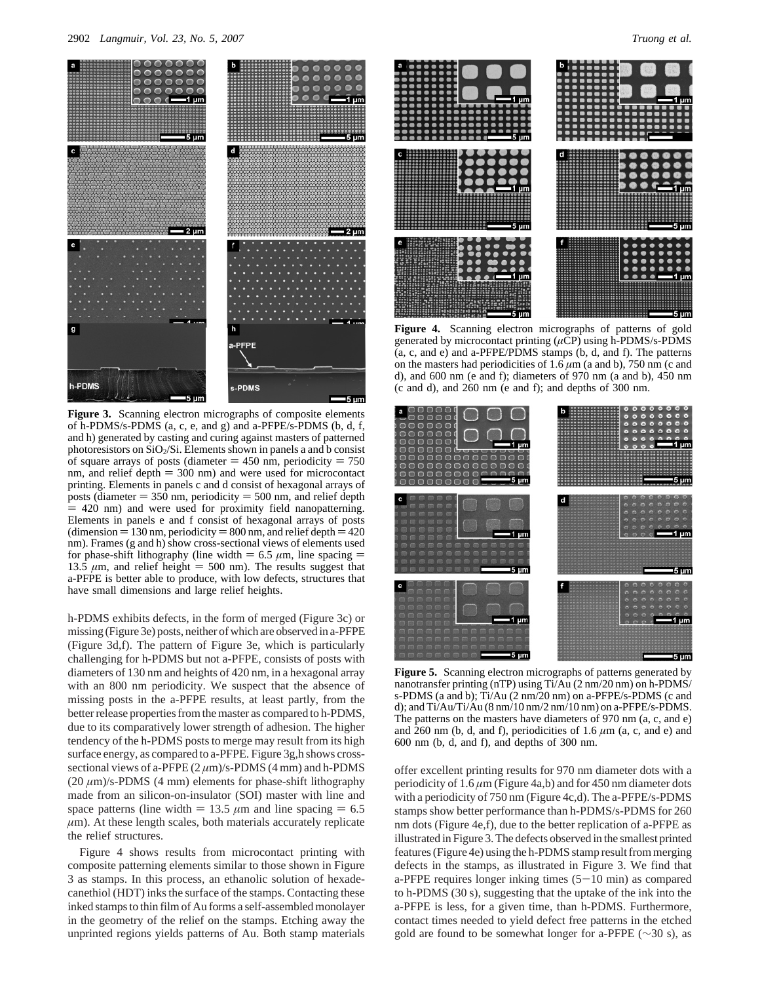

**Figure 3.** Scanning electron micrographs of composite elements of h-PDMS/s-PDMS (a, c, e, and g) and a-PFPE/s-PDMS (b, d, f, and h) generated by casting and curing against masters of patterned photoresistors on  $SiO<sub>2</sub>/Si$ . Elements shown in panels a and b consist of square arrays of posts (diameter  $= 450$  nm, periodicity  $= 750$ nm, and relief depth  $= 300$  nm) and were used for microcontact printing. Elements in panels c and d consist of hexagonal arrays of posts (diameter  $= 350$  nm, periodicity  $= 500$  nm, and relief depth  $=$  420 nm) and were used for proximity field nanopatterning. Elements in panels e and f consist of hexagonal arrays of posts (dimension  $= 130$  nm, periodicity  $= 800$  nm, and relief depth  $= 420$ nm). Frames (g and h) show cross-sectional views of elements used for phase-shift lithography (line width  $= 6.5 \mu$ m, line spacing  $=$ 13.5  $\mu$ m, and relief height = 500 nm). The results suggest that a-PFPE is better able to produce, with low defects, structures that have small dimensions and large relief heights.

h-PDMS exhibits defects, in the form of merged (Figure 3c) or missing (Figure 3e) posts, neither of which are observed in a-PFPE (Figure 3d,f). The pattern of Figure 3e, which is particularly challenging for h-PDMS but not a-PFPE, consists of posts with diameters of 130 nm and heights of 420 nm, in a hexagonal array with an 800 nm periodicity. We suspect that the absence of missing posts in the a-PFPE results, at least partly, from the better release properties from the master as compared to h-PDMS, due to its comparatively lower strength of adhesion. The higher tendency of the h-PDMS posts to merge may result from its high surface energy, as compared to a-PFPE. Figure 3g,h shows crosssectional views of a-PFPE  $(2 \mu m)/s$ -PDMS  $(4 \, mm)$  and h-PDMS  $(20 \mu m)/s$ -PDMS  $(4 \mu m)$  elements for phase-shift lithography made from an silicon-on-insulator (SOI) master with line and space patterns (line width  $= 13.5 \mu m$  and line spacing  $= 6.5$  $\mu$ m). At these length scales, both materials accurately replicate the relief structures.

Figure 4 shows results from microcontact printing with composite patterning elements similar to those shown in Figure 3 as stamps. In this process, an ethanolic solution of hexadecanethiol (HDT) inks the surface of the stamps. Contacting these inked stamps to thin film of Au forms a self-assembled monolayer in the geometry of the relief on the stamps. Etching away the unprinted regions yields patterns of Au. Both stamp materials



**Figure 4.** Scanning electron micrographs of patterns of gold generated by microcontact printing (*µ*CP) using h-PDMS/s-PDMS (a, c, and e) and a-PFPE/PDMS stamps (b, d, and f). The patterns on the masters had periodicities of 1.6 *µ*m (a and b), 750 nm (c and d), and 600 nm (e and f); diameters of 970 nm (a and b), 450 nm (c and d), and 260 nm (e and f); and depths of 300 nm.



**Figure 5.** Scanning electron micrographs of patterns generated by nanotransfer printing (nTP) using Ti/Au (2 nm/20 nm) on h-PDMS/ s-PDMS (a and b); Ti/Au (2 nm/20 nm) on a-PFPE/s-PDMS (c and d); and  $Ti/Au/Ti/Au$  (8 nm/10 nm/2 nm/10 nm) on a-PFPE/s-PDMS. The patterns on the masters have diameters of 970 nm (a, c, and e) and  $260$  nm (b, d, and f), periodicities of 1.6  $\mu$ m (a, c, and e) and 600 nm (b, d, and f), and depths of 300 nm.

offer excellent printing results for 970 nm diameter dots with a periodicity of 1.6 *µ*m (Figure 4a,b) and for 450 nm diameter dots with a periodicity of 750 nm (Figure 4c,d). The a-PFPE/s-PDMS stamps show better performance than h-PDMS/s-PDMS for 260 nm dots (Figure 4e,f), due to the better replication of a-PFPE as illustrated in Figure 3. The defects observed in the smallest printed features (Figure 4e) using the h-PDMS stamp result from merging defects in the stamps, as illustrated in Figure 3. We find that a-PFPE requires longer inking times  $(5-10 \text{ min})$  as compared to h-PDMS (30 s), suggesting that the uptake of the ink into the a-PFPE is less, for a given time, than h-PDMS. Furthermore, contact times needed to yield defect free patterns in the etched gold are found to be somewhat longer for a-PFPE (∼30 s), as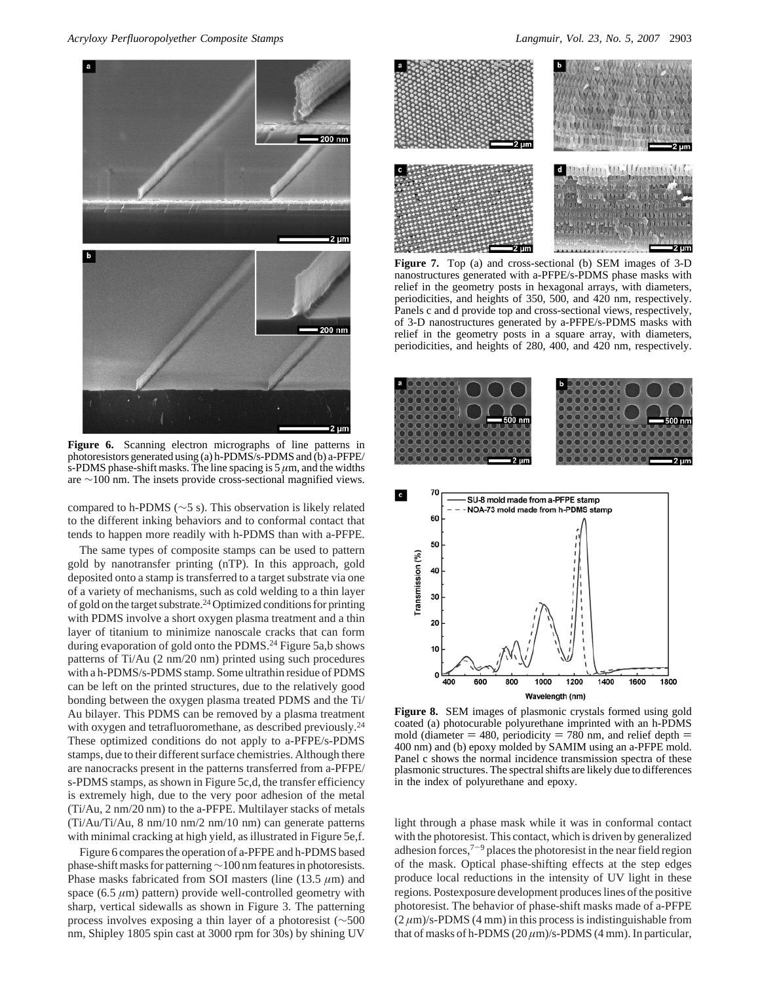*Acryloxy Perfluoropolyether Composite Stamps Langmuir, Vol. 23, No. 5, 2007* 2903



**Figure 6.** Scanning electron micrographs of line patterns in photoresistors generated using (a) h-PDMS/s-PDMS and (b) a-PFPE/ s-PDMS phase-shift masks. The line spacing is  $5 \mu m$ , and the widths are ∼100 nm. The insets provide cross-sectional magnified views.

compared to h-PDMS (∼5 s). This observation is likely related to the different inking behaviors and to conformal contact that tends to happen more readily with h-PDMS than with a-PFPE.

The same types of composite stamps can be used to pattern gold by nanotransfer printing (nTP). In this approach, gold deposited onto a stamp is transferred to a target substrate via one of a variety of mechanisms, such as cold welding to a thin layer of gold on the target substrate.24 Optimized conditions for printing with PDMS involve a short oxygen plasma treatment and a thin layer of titanium to minimize nanoscale cracks that can form during evaporation of gold onto the PDMS.<sup>24</sup> Figure 5a,b shows patterns of Ti/Au (2 nm/20 nm) printed using such procedures with a h-PDMS/s-PDMS stamp. Some ultrathin residue of PDMS can be left on the printed structures, due to the relatively good bonding between the oxygen plasma treated PDMS and the Ti/ Au bilayer. This PDMS can be removed by a plasma treatment with oxygen and tetrafluoromethane, as described previously.<sup>24</sup> These optimized conditions do not apply to a-PFPE/s-PDMS stamps, due to their different surface chemistries. Although there are nanocracks present in the patterns transferred from a-PFPE/ s-PDMS stamps, as shown in Figure 5c,d, the transfer efficiency is extremely high, due to the very poor adhesion of the metal (Ti/Au, 2 nm/20 nm) to the a-PFPE. Multilayer stacks of metals (Ti/Au/Ti/Au, 8 nm/10 nm/2 nm/10 nm) can generate patterns with minimal cracking at high yield, as illustrated in Figure 5e,f.

Figure 6 compares the operation of a-PFPE and h-PDMS based phase-shift masks for patterning∼100 nm features in photoresists. Phase masks fabricated from SOI masters (line (13.5 *µ*m) and space (6.5  $\mu$ m) pattern) provide well-controlled geometry with sharp, vertical sidewalls as shown in Figure 3. The patterning process involves exposing a thin layer of a photoresist (∼500 nm, Shipley 1805 spin cast at 3000 rpm for 30s) by shining UV



**Figure 7.** Top (a) and cross-sectional (b) SEM images of 3-D nanostructures generated with a-PFPE/s-PDMS phase masks with relief in the geometry posts in hexagonal arrays, with diameters, periodicities, and heights of 350, 500, and 420 nm, respectively. Panels c and d provide top and cross-sectional views, respectively, of 3-D nanostructures generated by a-PFPE/s-PDMS masks with relief in the geometry posts in a square array, with diameters, periodicities, and heights of 280, 400, and 420 nm, respectively.



**Figure 8.** SEM images of plasmonic crystals formed using gold coated (a) photocurable polyurethane imprinted with an h-PDMS mold (diameter  $= 480$ , periodicity  $= 780$  nm, and relief depth  $=$ 400 nm) and (b) epoxy molded by SAMIM using an a-PFPE mold. Panel c shows the normal incidence transmission spectra of these plasmonic structures. The spectral shifts are likely due to differences in the index of polyurethane and epoxy.

light through a phase mask while it was in conformal contact with the photoresist. This contact, which is driven by generalized adhesion forces,7-<sup>9</sup> places the photoresist in the near field region of the mask. Optical phase-shifting effects at the step edges produce local reductions in the intensity of UV light in these regions. Postexposure development produces lines of the positive photoresist. The behavior of phase-shift masks made of a-PFPE  $(2 \mu m)/s$ -PDMS (4 mm) in this process is indistinguishable from that of masks of h-PDMS  $(20 \mu m)/s$ -PDMS  $(4 \mu m)$ . In particular,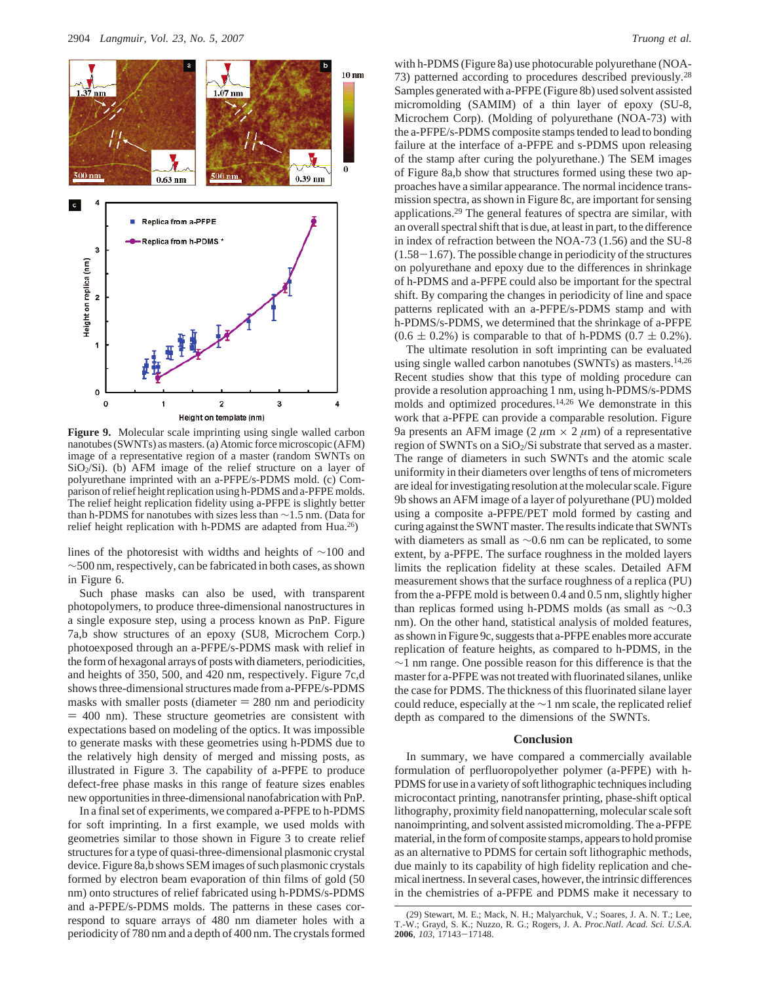

**Figure 9.** Molecular scale imprinting using single walled carbon nanotubes (SWNTs) as masters. (a) Atomic force microscopic (AFM) image of a representative region of a master (random SWNTs on  $SiO<sub>2</sub>/Si$ ). (b) AFM image of the relief structure on a layer of polyurethane imprinted with an a-PFPE/s-PDMS mold. (c) Comparison of relief height replication using h-PDMS and a-PFPE molds. The relief height replication fidelity using a-PFPE is slightly better than h-PDMS for nanotubes with sizes less than ∼1.5 nm. (Data for relief height replication with h-PDMS are adapted from Hua.26)

lines of the photoresist with widths and heights of ∼100 and ∼500 nm, respectively, can be fabricated in both cases, as shown in Figure 6.

Such phase masks can also be used, with transparent photopolymers, to produce three-dimensional nanostructures in a single exposure step, using a process known as PnP. Figure 7a,b show structures of an epoxy (SU8, Microchem Corp.) photoexposed through an a-PFPE/s-PDMS mask with relief in the form of hexagonal arrays of posts with diameters, periodicities, and heights of 350, 500, and 420 nm, respectively. Figure 7c,d shows three-dimensional structures made from a-PFPE/s-PDMS masks with smaller posts (diameter  $= 280$  nm and periodicity  $=$  400 nm). These structure geometries are consistent with expectations based on modeling of the optics. It was impossible to generate masks with these geometries using h-PDMS due to the relatively high density of merged and missing posts, as illustrated in Figure 3. The capability of a-PFPE to produce defect-free phase masks in this range of feature sizes enables new opportunities in three-dimensional nanofabrication with PnP.

In a final set of experiments, we compared a-PFPE to h-PDMS for soft imprinting. In a first example, we used molds with geometries similar to those shown in Figure 3 to create relief structures for a type of quasi-three-dimensional plasmonic crystal device. Figure 8a,b shows SEM images of such plasmonic crystals formed by electron beam evaporation of thin films of gold (50 nm) onto structures of relief fabricated using h-PDMS/s-PDMS and a-PFPE/s-PDMS molds. The patterns in these cases correspond to square arrays of 480 nm diameter holes with a periodicity of 780 nm and a depth of 400 nm. The crystals formed

with h-PDMS (Figure 8a) use photocurable polyurethane (NOA-73) patterned according to procedures described previously.28 Samples generated with a-PFPE (Figure 8b) used solvent assisted micromolding (SAMIM) of a thin layer of epoxy (SU-8, Microchem Corp). (Molding of polyurethane (NOA-73) with the a-PFPE/s-PDMS composite stamps tended to lead to bonding failure at the interface of a-PFPE and s-PDMS upon releasing of the stamp after curing the polyurethane.) The SEM images of Figure 8a,b show that structures formed using these two approaches have a similar appearance. The normal incidence transmission spectra, as shown in Figure 8c, are important for sensing applications.29 The general features of spectra are similar, with an overall spectral shift that is due, at least in part, to the difference in index of refraction between the NOA-73 (1.56) and the SU-8  $(1.58-1.67)$ . The possible change in periodicity of the structures on polyurethane and epoxy due to the differences in shrinkage of h-PDMS and a-PFPE could also be important for the spectral shift. By comparing the changes in periodicity of line and space patterns replicated with an a-PFPE/s-PDMS stamp and with h-PDMS/s-PDMS, we determined that the shrinkage of a-PFPE  $(0.6 \pm 0.2\%)$  is comparable to that of h-PDMS  $(0.7 \pm 0.2\%)$ .

The ultimate resolution in soft imprinting can be evaluated using single walled carbon nanotubes (SWNTs) as masters.<sup>14,26</sup> Recent studies show that this type of molding procedure can provide a resolution approaching 1 nm, using h-PDMS/s-PDMS molds and optimized procedures.14,26 We demonstrate in this work that a-PFPE can provide a comparable resolution. Figure 9a presents an AFM image (2  $\mu$ m  $\times$  2  $\mu$ m) of a representative region of SWNTs on a SiO<sub>2</sub>/Si substrate that served as a master. The range of diameters in such SWNTs and the atomic scale uniformity in their diameters over lengths of tens of micrometers are ideal for investigating resolution at the molecular scale. Figure 9b shows an AFM image of a layer of polyurethane (PU) molded using a composite a-PFPE/PET mold formed by casting and curing against the SWNT master. The results indicate that SWNTs with diameters as small as ∼0.6 nm can be replicated, to some extent, by a-PFPE. The surface roughness in the molded layers limits the replication fidelity at these scales. Detailed AFM measurement shows that the surface roughness of a replica (PU) from the a-PFPE mold is between 0.4 and 0.5 nm, slightly higher than replicas formed using h-PDMS molds (as small as ∼0.3 nm). On the other hand, statistical analysis of molded features, as shown in Figure 9c, suggests that a-PFPE enables more accurate replication of feature heights, as compared to h-PDMS, in the ∼1 nm range. One possible reason for this difference is that the master for a-PFPE was not treated with fluorinated silanes, unlike the case for PDMS. The thickness of this fluorinated silane layer could reduce, especially at the ∼1 nm scale, the replicated relief depth as compared to the dimensions of the SWNTs.

### **Conclusion**

In summary, we have compared a commercially available formulation of perfluoropolyether polymer (a-PFPE) with h-PDMS for use in a variety of soft lithographic techniques including microcontact printing, nanotransfer printing, phase-shift optical lithography, proximity field nanopatterning, molecular scale soft nanoimprinting, and solvent assisted micromolding. The a-PFPE material, in the form of composite stamps, appears to hold promise as an alternative to PDMS for certain soft lithographic methods, due mainly to its capability of high fidelity replication and chemical inertness. In several cases, however, the intrinsic differences in the chemistries of a-PFPE and PDMS make it necessary to

<sup>(29)</sup> Stewart, M. E.; Mack, N. H.; Malyarchuk, V.; Soares, J. A. N. T.; Lee, T.-W.; Grayd, S. K.; Nuzzo, R. G.; Rogers, J. A. *Proc.Natl. Acad. Sci. U.S.A.* **<sup>2006</sup>**, *<sup>103</sup>*, 17143-17148.